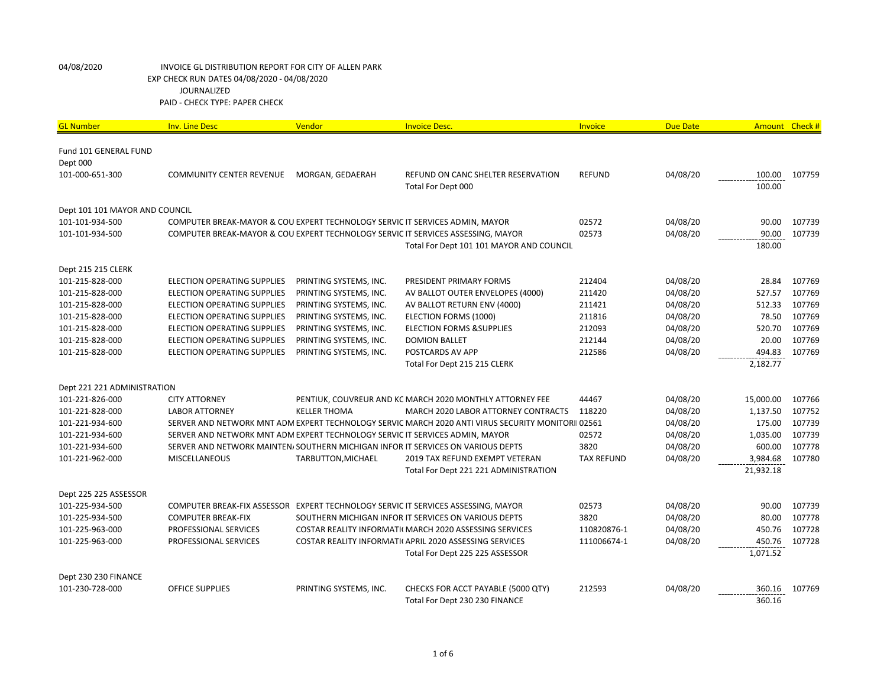| <b>GL Number</b>                  | <b>Inv. Line Desc</b>                                                        | Vendor                 | <b>Invoice Desc.</b>                                                                               | Invoice           | <b>Due Date</b> | Amount Check # |        |
|-----------------------------------|------------------------------------------------------------------------------|------------------------|----------------------------------------------------------------------------------------------------|-------------------|-----------------|----------------|--------|
|                                   |                                                                              |                        |                                                                                                    |                   |                 |                |        |
| Fund 101 GENERAL FUND<br>Dept 000 |                                                                              |                        |                                                                                                    |                   |                 |                |        |
| 101-000-651-300                   | <b>COMMUNITY CENTER REVENUE</b>                                              | MORGAN, GEDAERAH       | REFUND ON CANC SHELTER RESERVATION                                                                 | <b>REFUND</b>     | 04/08/20        | 100.00         | 107759 |
|                                   |                                                                              |                        | Total For Dept 000                                                                                 |                   |                 | 100.00         |        |
|                                   |                                                                              |                        |                                                                                                    |                   |                 |                |        |
| Dept 101 101 MAYOR AND COUNCIL    |                                                                              |                        |                                                                                                    |                   |                 |                |        |
| 101-101-934-500                   | COMPUTER BREAK-MAYOR & COU EXPERT TECHNOLOGY SERVIC IT SERVICES ADMIN, MAYOR |                        |                                                                                                    | 02572             | 04/08/20        | 90.00          | 107739 |
| 101-101-934-500                   |                                                                              |                        | COMPUTER BREAK-MAYOR & COU EXPERT TECHNOLOGY SERVIC IT SERVICES ASSESSING, MAYOR                   | 02573             | 04/08/20        | 90.00          | 107739 |
|                                   |                                                                              |                        | Total For Dept 101 101 MAYOR AND COUNCIL                                                           |                   |                 | 180.00         |        |
|                                   |                                                                              |                        |                                                                                                    |                   |                 |                |        |
| Dept 215 215 CLERK                |                                                                              |                        |                                                                                                    |                   |                 |                |        |
| 101-215-828-000                   | <b>ELECTION OPERATING SUPPLIES</b>                                           | PRINTING SYSTEMS, INC. | PRESIDENT PRIMARY FORMS                                                                            | 212404            | 04/08/20        | 28.84          | 107769 |
| 101-215-828-000                   | <b>ELECTION OPERATING SUPPLIES</b>                                           | PRINTING SYSTEMS, INC. | AV BALLOT OUTER ENVELOPES (4000)                                                                   | 211420            | 04/08/20        | 527.57         | 107769 |
| 101-215-828-000                   | <b>ELECTION OPERATING SUPPLIES</b>                                           | PRINTING SYSTEMS, INC. | AV BALLOT RETURN ENV (4000)                                                                        | 211421            | 04/08/20        | 512.33         | 107769 |
| 101-215-828-000                   | <b>ELECTION OPERATING SUPPLIES</b>                                           | PRINTING SYSTEMS, INC. | ELECTION FORMS (1000)                                                                              | 211816            | 04/08/20        | 78.50          | 107769 |
| 101-215-828-000                   | <b>ELECTION OPERATING SUPPLIES</b>                                           | PRINTING SYSTEMS, INC. | <b>ELECTION FORMS &amp; SUPPLIES</b>                                                               | 212093            | 04/08/20        | 520.70         | 107769 |
| 101-215-828-000                   | <b>ELECTION OPERATING SUPPLIES</b>                                           | PRINTING SYSTEMS, INC. | <b>DOMION BALLET</b>                                                                               | 212144            | 04/08/20        | 20.00          | 107769 |
| 101-215-828-000                   | <b>ELECTION OPERATING SUPPLIES</b>                                           | PRINTING SYSTEMS, INC. | POSTCARDS AV APP                                                                                   | 212586            | 04/08/20        | 494.83         | 107769 |
|                                   |                                                                              |                        | Total For Dept 215 215 CLERK                                                                       |                   |                 | 2,182.77       |        |
| Dept 221 221 ADMINISTRATION       |                                                                              |                        |                                                                                                    |                   |                 |                |        |
| 101-221-826-000                   | <b>CITY ATTORNEY</b>                                                         |                        | PENTIUK, COUVREUR AND KC MARCH 2020 MONTHLY ATTORNEY FEE                                           | 44467             | 04/08/20        | 15,000.00      | 107766 |
| 101-221-828-000                   | <b>LABOR ATTORNEY</b>                                                        | <b>KELLER THOMA</b>    | MARCH 2020 LABOR ATTORNEY CONTRACTS                                                                | 118220            | 04/08/20        | 1,137.50       | 107752 |
| 101-221-934-600                   |                                                                              |                        | SERVER AND NETWORK MNT ADM EXPERT TECHNOLOGY SERVIC MARCH 2020 ANTI VIRUS SECURITY MONITORII 02561 |                   | 04/08/20        | 175.00         | 107739 |
| 101-221-934-600                   | SERVER AND NETWORK MNT ADM EXPERT TECHNOLOGY SERVIC IT SERVICES ADMIN, MAYOR |                        |                                                                                                    | 02572             | 04/08/20        | 1,035.00       | 107739 |
| 101-221-934-600                   |                                                                              |                        | SERVER AND NETWORK MAINTEN, SOUTHERN MICHIGAN INFOR IT SERVICES ON VARIOUS DEPTS                   | 3820              | 04/08/20        | 600.00         | 107778 |
| 101-221-962-000                   | <b>MISCELLANEOUS</b>                                                         | TARBUTTON, MICHAEL     | 2019 TAX REFUND EXEMPT VETERAN                                                                     | <b>TAX REFUND</b> | 04/08/20        | 3,984.68       | 107780 |
|                                   |                                                                              |                        | Total For Dept 221 221 ADMINISTRATION                                                              |                   |                 | 21,932.18      |        |
| Dept 225 225 ASSESSOR             |                                                                              |                        |                                                                                                    |                   |                 |                |        |
| 101-225-934-500                   |                                                                              |                        | COMPUTER BREAK-FIX ASSESSOR EXPERT TECHNOLOGY SERVIC IT SERVICES ASSESSING, MAYOR                  | 02573             | 04/08/20        | 90.00          | 107739 |
| 101-225-934-500                   | <b>COMPUTER BREAK-FIX</b>                                                    |                        | SOUTHERN MICHIGAN INFOR IT SERVICES ON VARIOUS DEPTS                                               | 3820              | 04/08/20        | 80.00          | 107778 |
| 101-225-963-000                   | PROFESSIONAL SERVICES                                                        |                        | COSTAR REALITY INFORMATI( MARCH 2020 ASSESSING SERVICES                                            | 110820876-1       | 04/08/20        | 450.76         | 107728 |
| 101-225-963-000                   | PROFESSIONAL SERVICES                                                        |                        | COSTAR REALITY INFORMATI(APRIL 2020 ASSESSING SERVICES                                             | 111006674-1       | 04/08/20        | 450.76         | 107728 |
|                                   |                                                                              |                        | Total For Dept 225 225 ASSESSOR                                                                    |                   |                 | 1,071.52       |        |
|                                   |                                                                              |                        |                                                                                                    |                   |                 |                |        |
| Dept 230 230 FINANCE              |                                                                              |                        |                                                                                                    |                   |                 |                |        |
| 101-230-728-000                   | <b>OFFICE SUPPLIES</b>                                                       | PRINTING SYSTEMS, INC. | CHECKS FOR ACCT PAYABLE (5000 QTY)                                                                 | 212593            | 04/08/20        | 360.16         | 107769 |
|                                   |                                                                              |                        | Total For Dept 230 230 FINANCE                                                                     |                   |                 | 360.16         |        |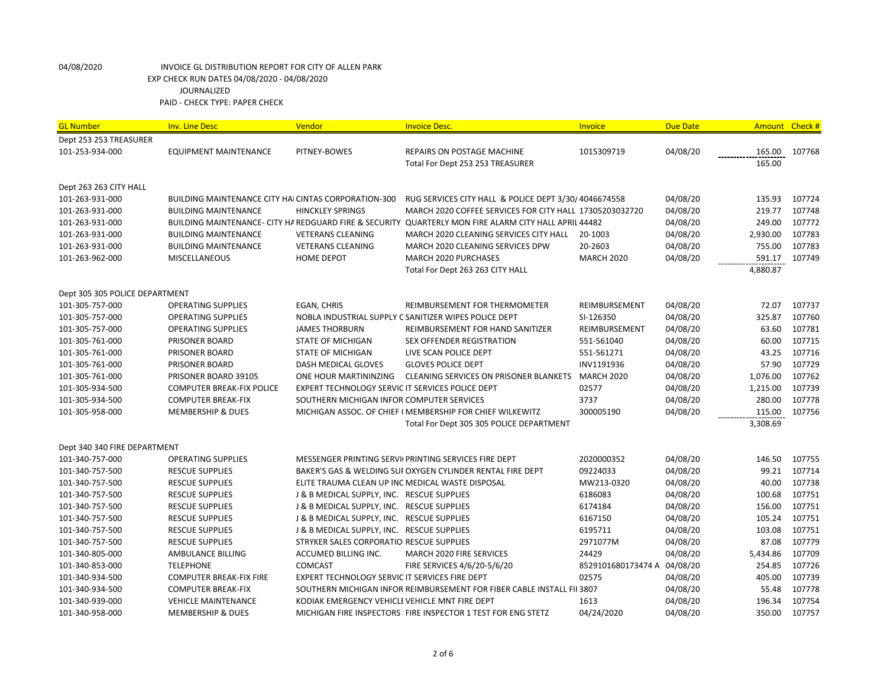| <b>GL Number</b>               | <b>Inv. Line Desc</b>                                       | Vendor                                           | <b>Invoice Desc.</b>                                                   | Invoice                     | <b>Due Date</b> |          | Amount Check # |
|--------------------------------|-------------------------------------------------------------|--------------------------------------------------|------------------------------------------------------------------------|-----------------------------|-----------------|----------|----------------|
| Dept 253 253 TREASURER         |                                                             |                                                  |                                                                        |                             |                 |          |                |
| 101-253-934-000                | EQUIPMENT MAINTENANCE                                       | PITNEY-BOWES                                     | REPAIRS ON POSTAGE MACHINE                                             | 1015309719                  | 04/08/20        | 165.00   | 107768         |
|                                |                                                             |                                                  | Total For Dept 253 253 TREASURER                                       |                             |                 | 165.00   |                |
| Dept 263 263 CITY HALL         |                                                             |                                                  |                                                                        |                             |                 |          |                |
| 101-263-931-000                | <b>BUILDING MAINTENANCE CITY HAI CINTAS CORPORATION-300</b> |                                                  | RUG SERVICES CITY HALL & POLICE DEPT 3/30/4046674558                   |                             | 04/08/20        | 135.93   | 107724         |
| 101-263-931-000                | <b>BUILDING MAINTENANCE</b>                                 | <b>HINCKLEY SPRINGS</b>                          | MARCH 2020 COFFEE SERVICES FOR CITY HALL 17305203032720                |                             | 04/08/20        | 219.77   | 107748         |
| 101-263-931-000                | BUILDING MAINTENANCE- CITY HA REDGUARD FIRE & SECURITY      |                                                  | QUARTERLY MON FIRE ALARM CITY HALL APRIL 44482                         |                             | 04/08/20        | 249.00   | 107772         |
| 101-263-931-000                | <b>BUILDING MAINTENANCE</b>                                 | <b>VETERANS CLEANING</b>                         | MARCH 2020 CLEANING SERVICES CITY HALL                                 | 20-1003                     | 04/08/20        | 2,930.00 | 107783         |
| 101-263-931-000                | <b>BUILDING MAINTENANCE</b>                                 | <b>VETERANS CLEANING</b>                         | MARCH 2020 CLEANING SERVICES DPW                                       | 20-2603                     | 04/08/20        | 755.00   | 107783         |
| 101-263-962-000                | <b>MISCELLANEOUS</b>                                        | <b>HOME DEPOT</b>                                | MARCH 2020 PURCHASES                                                   | <b>MARCH 2020</b>           | 04/08/20        | 591.17   | 107749         |
|                                |                                                             |                                                  | Total For Dept 263 263 CITY HALL                                       |                             |                 | 4,880.87 |                |
| Dept 305 305 POLICE DEPARTMENT |                                                             |                                                  |                                                                        |                             |                 |          |                |
| 101-305-757-000                | <b>OPERATING SUPPLIES</b>                                   | EGAN, CHRIS                                      | REIMBURSEMENT FOR THERMOMETER                                          | REIMBURSEMENT               | 04/08/20        | 72.07    | 107737         |
| 101-305-757-000                | <b>OPERATING SUPPLIES</b>                                   |                                                  | NOBLA INDUSTRIAL SUPPLY C SANITIZER WIPES POLICE DEPT                  | SI-126350                   | 04/08/20        | 325.87   | 107760         |
| 101-305-757-000                | <b>OPERATING SUPPLIES</b>                                   | <b>JAMES THORBURN</b>                            | REIMBURSEMENT FOR HAND SANITIZER                                       | REIMBURSEMENT               | 04/08/20        | 63.60    | 107781         |
| 101-305-761-000                | PRISONER BOARD                                              | <b>STATE OF MICHIGAN</b>                         | SEX OFFENDER REGISTRATION                                              | 551-561040                  | 04/08/20        | 60.00    | 107715         |
| 101-305-761-000                | PRISONER BOARD                                              | <b>STATE OF MICHIGAN</b>                         | LIVE SCAN POLICE DEPT                                                  | 551-561271                  | 04/08/20        | 43.25    | 107716         |
| 101-305-761-000                | PRISONER BOARD                                              | DASH MEDICAL GLOVES                              | <b>GLOVES POLICE DEPT</b>                                              | INV1191936                  | 04/08/20        | 57.90    | 107729         |
| 101-305-761-000                | PRISONER BOARD 39105                                        | ONE HOUR MARTININZING                            | <b>CLEANING SERVICES ON PRISONER BLANKETS</b>                          | <b>MARCH 2020</b>           | 04/08/20        | 1,076.00 | 107762         |
| 101-305-934-500                | <b>COMPUTER BREAK-FIX POLICE</b>                            | EXPERT TECHNOLOGY SERVIC IT SERVICES POLICE DEPT |                                                                        | 02577                       | 04/08/20        | 1,215.00 | 107739         |
| 101-305-934-500                | <b>COMPUTER BREAK-FIX</b>                                   | SOUTHERN MICHIGAN INFOR COMPUTER SERVICES        |                                                                        | 3737                        | 04/08/20        | 280.00   | 107778         |
| 101-305-958-000                | <b>MEMBERSHIP &amp; DUES</b>                                |                                                  | MICHIGAN ASSOC. OF CHIEF (MEMBERSHIP FOR CHIEF WILKEWITZ               | 300005190                   | 04/08/20        | 115.00   | 107756         |
|                                |                                                             |                                                  | Total For Dept 305 305 POLICE DEPARTMENT                               |                             |                 | 3,308.69 |                |
| Dept 340 340 FIRE DEPARTMENT   |                                                             |                                                  |                                                                        |                             |                 |          |                |
| 101-340-757-000                | <b>OPERATING SUPPLIES</b>                                   |                                                  | MESSENGER PRINTING SERVI(PRINTING SERVICES FIRE DEPT                   | 2020000352                  | 04/08/20        | 146.50   | 107755         |
| 101-340-757-500                | <b>RESCUE SUPPLIES</b>                                      |                                                  | BAKER'S GAS & WELDING SUI OXYGEN CYLINDER RENTAL FIRE DEPT             | 09224033                    | 04/08/20        | 99.21    | 107714         |
| 101-340-757-500                | <b>RESCUE SUPPLIES</b>                                      | ELITE TRAUMA CLEAN UP INC MEDICAL WASTE DISPOSAL |                                                                        | MW213-0320                  | 04/08/20        | 40.00    | 107738         |
| 101-340-757-500                | <b>RESCUE SUPPLIES</b>                                      | J & B MEDICAL SUPPLY, INC. RESCUE SUPPLIES       |                                                                        | 6186083                     | 04/08/20        | 100.68   | 107751         |
| 101-340-757-500                | <b>RESCUE SUPPLIES</b>                                      | J & B MEDICAL SUPPLY, INC. RESCUE SUPPLIES       |                                                                        | 6174184                     | 04/08/20        | 156.00   | 107751         |
| 101-340-757-500                | <b>RESCUE SUPPLIES</b>                                      | J & B MEDICAL SUPPLY, INC. RESCUE SUPPLIES       |                                                                        | 6167150                     | 04/08/20        | 105.24   | 107751         |
| 101-340-757-500                | <b>RESCUE SUPPLIES</b>                                      | J & B MEDICAL SUPPLY, INC. RESCUE SUPPLIES       |                                                                        | 6195711                     | 04/08/20        | 103.08   | 107751         |
| 101-340-757-500                | <b>RESCUE SUPPLIES</b>                                      | STRYKER SALES CORPORATIO RESCUE SUPPLIES         |                                                                        | 2971077M                    | 04/08/20        | 87.08    | 107779         |
| 101-340-805-000                | AMBULANCE BILLING                                           | ACCUMED BILLING INC.                             | MARCH 2020 FIRE SERVICES                                               | 24429                       | 04/08/20        | 5,434.86 | 107709         |
| 101-340-853-000                | <b>TELEPHONE</b>                                            | <b>COMCAST</b>                                   | FIRE SERVICES 4/6/20-5/6/20                                            | 8529101680173474 A 04/08/20 |                 | 254.85   | 107726         |
| 101-340-934-500                | <b>COMPUTER BREAK-FIX FIRE</b>                              | EXPERT TECHNOLOGY SERVIC IT SERVICES FIRE DEPT   |                                                                        | 02575                       | 04/08/20        | 405.00   | 107739         |
| 101-340-934-500                | <b>COMPUTER BREAK-FIX</b>                                   |                                                  | SOUTHERN MICHIGAN INFOR REIMBURSEMENT FOR FIBER CABLE INSTALL FII 3807 |                             | 04/08/20        | 55.48    | 107778         |
| 101-340-939-000                | <b>VEHICLE MAINTENANCE</b>                                  | KODIAK EMERGENCY VEHICLE VEHICLE MNT FIRE DEPT   |                                                                        | 1613                        | 04/08/20        | 196.34   | 107754         |
| 101-340-958-000                | <b>MEMBERSHIP &amp; DUES</b>                                |                                                  | MICHIGAN FIRE INSPECTORS FIRE INSPECTOR 1 TEST FOR ENG STETZ           | 04/24/2020                  | 04/08/20        | 350.00   | 107757         |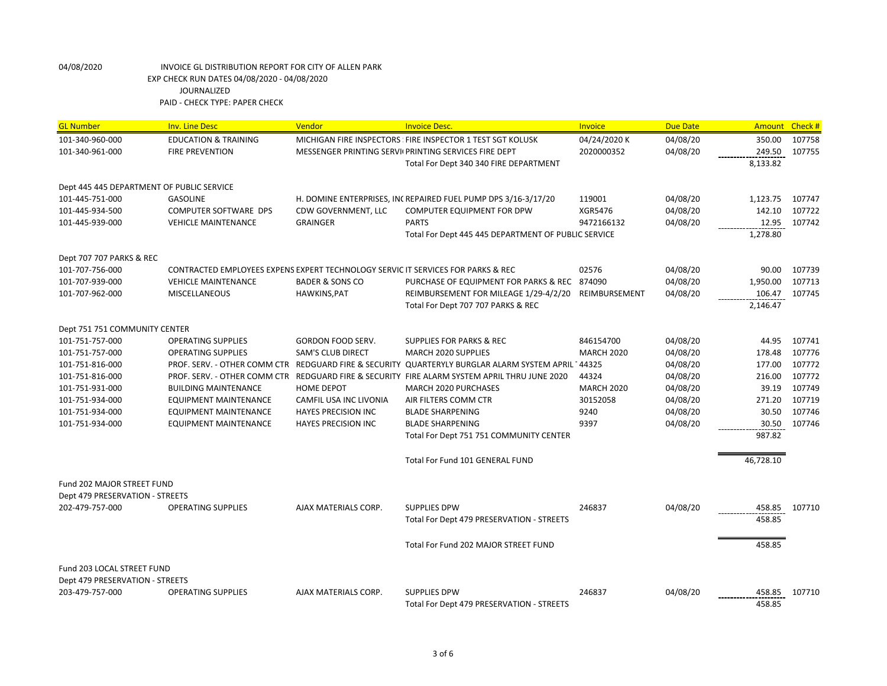| 107758<br>101-340-960-000<br><b>EDUCATION &amp; TRAINING</b><br>MICHIGAN FIRE INSPECTORS FIRE INSPECTOR 1 TEST SGT KOLUSK<br>04/24/2020 K<br>04/08/20<br>350.00<br>04/08/20<br>249.50<br>107755<br>101-340-961-000<br><b>FIRE PREVENTION</b><br>MESSENGER PRINTING SERVIL PRINTING SERVICES FIRE DEPT<br>2020000352<br>8,133.82<br>Total For Dept 340 340 FIRE DEPARTMENT<br>Dept 445 445 DEPARTMENT OF PUBLIC SERVICE<br>101-445-751-000<br><b>GASOLINE</b><br>H. DOMINE ENTERPRISES, INCREPAIRED FUEL PUMP DPS 3/16-3/17/20<br>119001<br>04/08/20<br>1,123.75<br>107747<br>142.10<br>107722<br>101-445-934-500<br>COMPUTER SOFTWARE DPS<br>CDW GOVERNMENT, LLC<br>COMPUTER EQUIPMENT FOR DPW<br>XGR5476<br>04/08/20<br>04/08/20<br>12.95<br>107742<br>101-445-939-000<br><b>VEHICLE MAINTENANCE</b><br><b>GRAINGER</b><br><b>PARTS</b><br>9472166132<br>1,278.80<br>Total For Dept 445 445 DEPARTMENT OF PUBLIC SERVICE | <b>GL Number</b>         | <b>Inv. Line Desc</b> | Vendor | <b>Invoice Desc.</b> | <b>Invoice</b> | <b>Due Date</b> | <b>Amount</b> | Check# |
|---------------------------------------------------------------------------------------------------------------------------------------------------------------------------------------------------------------------------------------------------------------------------------------------------------------------------------------------------------------------------------------------------------------------------------------------------------------------------------------------------------------------------------------------------------------------------------------------------------------------------------------------------------------------------------------------------------------------------------------------------------------------------------------------------------------------------------------------------------------------------------------------------------------------------|--------------------------|-----------------------|--------|----------------------|----------------|-----------------|---------------|--------|
|                                                                                                                                                                                                                                                                                                                                                                                                                                                                                                                                                                                                                                                                                                                                                                                                                                                                                                                           |                          |                       |        |                      |                |                 |               |        |
|                                                                                                                                                                                                                                                                                                                                                                                                                                                                                                                                                                                                                                                                                                                                                                                                                                                                                                                           |                          |                       |        |                      |                |                 |               |        |
|                                                                                                                                                                                                                                                                                                                                                                                                                                                                                                                                                                                                                                                                                                                                                                                                                                                                                                                           |                          |                       |        |                      |                |                 |               |        |
|                                                                                                                                                                                                                                                                                                                                                                                                                                                                                                                                                                                                                                                                                                                                                                                                                                                                                                                           |                          |                       |        |                      |                |                 |               |        |
|                                                                                                                                                                                                                                                                                                                                                                                                                                                                                                                                                                                                                                                                                                                                                                                                                                                                                                                           |                          |                       |        |                      |                |                 |               |        |
|                                                                                                                                                                                                                                                                                                                                                                                                                                                                                                                                                                                                                                                                                                                                                                                                                                                                                                                           |                          |                       |        |                      |                |                 |               |        |
|                                                                                                                                                                                                                                                                                                                                                                                                                                                                                                                                                                                                                                                                                                                                                                                                                                                                                                                           |                          |                       |        |                      |                |                 |               |        |
|                                                                                                                                                                                                                                                                                                                                                                                                                                                                                                                                                                                                                                                                                                                                                                                                                                                                                                                           |                          |                       |        |                      |                |                 |               |        |
|                                                                                                                                                                                                                                                                                                                                                                                                                                                                                                                                                                                                                                                                                                                                                                                                                                                                                                                           | Dept 707 707 PARKS & REC |                       |        |                      |                |                 |               |        |
| CONTRACTED EMPLOYEES EXPENS EXPERT TECHNOLOGY SERVIC IT SERVICES FOR PARKS & REC<br>02576<br>04/08/20<br>90.00<br>107739<br>101-707-756-000                                                                                                                                                                                                                                                                                                                                                                                                                                                                                                                                                                                                                                                                                                                                                                               |                          |                       |        |                      |                |                 |               |        |
| 04/08/20<br>107713<br>101-707-939-000<br><b>VEHICLE MAINTENANCE</b><br><b>BADER &amp; SONS CO</b><br>PURCHASE OF EQUIPMENT FOR PARKS & REC 874090<br>1,950.00                                                                                                                                                                                                                                                                                                                                                                                                                                                                                                                                                                                                                                                                                                                                                             |                          |                       |        |                      |                |                 |               |        |
| 04/08/20<br>106.47<br>107745<br>101-707-962-000<br><b>MISCELLANEOUS</b><br>HAWKINS, PAT<br>REIMBURSEMENT FOR MILEAGE 1/29-4/2/20<br>REIMBURSEMENT                                                                                                                                                                                                                                                                                                                                                                                                                                                                                                                                                                                                                                                                                                                                                                         |                          |                       |        |                      |                |                 |               |        |
| Total For Dept 707 707 PARKS & REC<br>2,146.47                                                                                                                                                                                                                                                                                                                                                                                                                                                                                                                                                                                                                                                                                                                                                                                                                                                                            |                          |                       |        |                      |                |                 |               |        |
| Dept 751 751 COMMUNITY CENTER                                                                                                                                                                                                                                                                                                                                                                                                                                                                                                                                                                                                                                                                                                                                                                                                                                                                                             |                          |                       |        |                      |                |                 |               |        |
| 101-751-757-000<br><b>OPERATING SUPPLIES</b><br><b>GORDON FOOD SERV.</b><br><b>SUPPLIES FOR PARKS &amp; REC</b><br>846154700<br>04/08/20<br>44.95<br>107741                                                                                                                                                                                                                                                                                                                                                                                                                                                                                                                                                                                                                                                                                                                                                               |                          |                       |        |                      |                |                 |               |        |
| 04/08/20<br>178.48<br>107776<br>101-751-757-000<br><b>OPERATING SUPPLIES</b><br><b>SAM'S CLUB DIRECT</b><br><b>MARCH 2020 SUPPLIES</b><br><b>MARCH 2020</b>                                                                                                                                                                                                                                                                                                                                                                                                                                                                                                                                                                                                                                                                                                                                                               |                          |                       |        |                      |                |                 |               |        |
| 107772<br>04/08/20<br>177.00<br>101-751-816-000<br>PROF. SERV. - OTHER COMM CTR<br>REDGUARD FIRE & SECURITY QUARTERYLY BURGLAR ALARM SYSTEM APRIL 144325                                                                                                                                                                                                                                                                                                                                                                                                                                                                                                                                                                                                                                                                                                                                                                  |                          |                       |        |                      |                |                 |               |        |
| 107772<br>216.00<br>101-751-816-000<br>PROF. SERV. - OTHER COMM CTR<br>REDGUARD FIRE & SECURITY FIRE ALARM SYSTEM APRIL THRU JUNE 2020<br>44324<br>04/08/20                                                                                                                                                                                                                                                                                                                                                                                                                                                                                                                                                                                                                                                                                                                                                               |                          |                       |        |                      |                |                 |               |        |
| 107749<br>39.19<br>101-751-931-000<br><b>BUILDING MAINTENANCE</b><br><b>HOME DEPOT</b><br>MARCH 2020 PURCHASES<br><b>MARCH 2020</b><br>04/08/20                                                                                                                                                                                                                                                                                                                                                                                                                                                                                                                                                                                                                                                                                                                                                                           |                          |                       |        |                      |                |                 |               |        |
| 107719<br>101-751-934-000<br><b>EQUIPMENT MAINTENANCE</b><br>AIR FILTERS COMM CTR<br>30152058<br>04/08/20<br>271.20<br>CAMFIL USA INC LIVONIA                                                                                                                                                                                                                                                                                                                                                                                                                                                                                                                                                                                                                                                                                                                                                                             |                          |                       |        |                      |                |                 |               |        |
| 107746<br>04/08/20<br>30.50<br>101-751-934-000<br><b>EQUIPMENT MAINTENANCE</b><br><b>HAYES PRECISION INC</b><br><b>BLADE SHARPENING</b><br>9240                                                                                                                                                                                                                                                                                                                                                                                                                                                                                                                                                                                                                                                                                                                                                                           |                          |                       |        |                      |                |                 |               |        |
| 9397<br>04/08/20<br>107746<br>101-751-934-000<br><b>EQUIPMENT MAINTENANCE</b><br><b>HAYES PRECISION INC</b><br><b>BLADE SHARPENING</b><br>30.50                                                                                                                                                                                                                                                                                                                                                                                                                                                                                                                                                                                                                                                                                                                                                                           |                          |                       |        |                      |                |                 |               |        |
| 987.82<br>Total For Dept 751 751 COMMUNITY CENTER                                                                                                                                                                                                                                                                                                                                                                                                                                                                                                                                                                                                                                                                                                                                                                                                                                                                         |                          |                       |        |                      |                |                 |               |        |
| Total For Fund 101 GENERAL FUND<br>46,728.10                                                                                                                                                                                                                                                                                                                                                                                                                                                                                                                                                                                                                                                                                                                                                                                                                                                                              |                          |                       |        |                      |                |                 |               |        |
| <b>Fund 202 MAJOR STREET FUND</b>                                                                                                                                                                                                                                                                                                                                                                                                                                                                                                                                                                                                                                                                                                                                                                                                                                                                                         |                          |                       |        |                      |                |                 |               |        |
| Dept 479 PRESERVATION - STREETS                                                                                                                                                                                                                                                                                                                                                                                                                                                                                                                                                                                                                                                                                                                                                                                                                                                                                           |                          |                       |        |                      |                |                 |               |        |
| 246837<br>04/08/20<br>202-479-757-000<br><b>OPERATING SUPPLIES</b><br>AJAX MATERIALS CORP.<br><b>SUPPLIES DPW</b><br>458.85<br>107710                                                                                                                                                                                                                                                                                                                                                                                                                                                                                                                                                                                                                                                                                                                                                                                     |                          |                       |        |                      |                |                 |               |        |
| 458.85<br>Total For Dept 479 PRESERVATION - STREETS                                                                                                                                                                                                                                                                                                                                                                                                                                                                                                                                                                                                                                                                                                                                                                                                                                                                       |                          |                       |        |                      |                |                 |               |        |
| 458.85<br>Total For Fund 202 MAJOR STREET FUND                                                                                                                                                                                                                                                                                                                                                                                                                                                                                                                                                                                                                                                                                                                                                                                                                                                                            |                          |                       |        |                      |                |                 |               |        |
|                                                                                                                                                                                                                                                                                                                                                                                                                                                                                                                                                                                                                                                                                                                                                                                                                                                                                                                           |                          |                       |        |                      |                |                 |               |        |
| Fund 203 LOCAL STREET FUND<br>Dept 479 PRESERVATION - STREETS                                                                                                                                                                                                                                                                                                                                                                                                                                                                                                                                                                                                                                                                                                                                                                                                                                                             |                          |                       |        |                      |                |                 |               |        |
| 203-479-757-000<br><b>OPERATING SUPPLIES</b><br>AJAX MATERIALS CORP.<br><b>SUPPLIES DPW</b><br>246837<br>04/08/20<br>458.85<br>107710                                                                                                                                                                                                                                                                                                                                                                                                                                                                                                                                                                                                                                                                                                                                                                                     |                          |                       |        |                      |                |                 |               |        |
| 458.85<br>Total For Dept 479 PRESERVATION - STREETS                                                                                                                                                                                                                                                                                                                                                                                                                                                                                                                                                                                                                                                                                                                                                                                                                                                                       |                          |                       |        |                      |                |                 |               |        |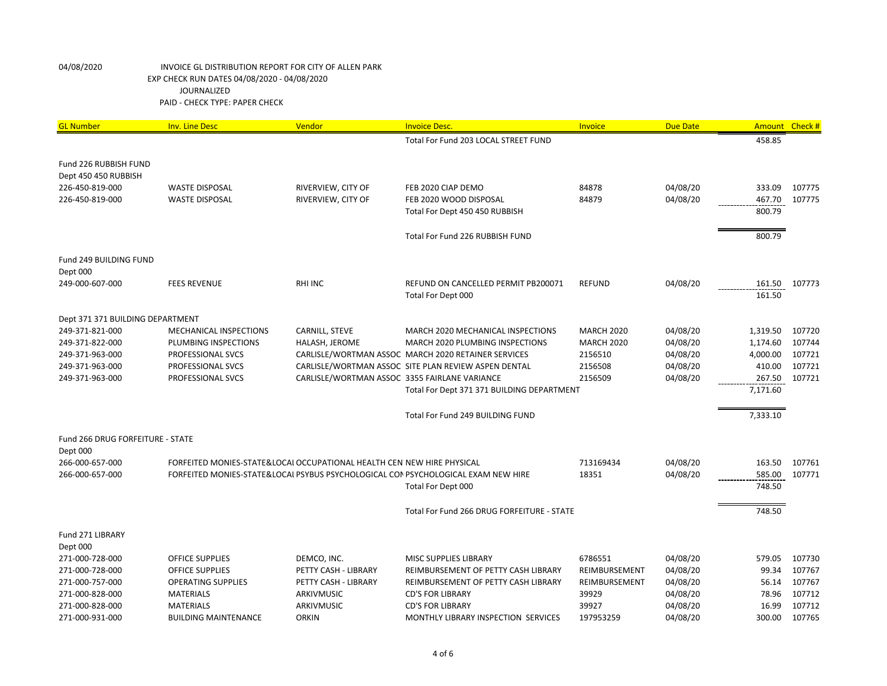| <b>GL Number</b>                        | <b>Inv. Line Desc</b>       | Vendor                                                                 | <b>Invoice Desc.</b>                                                              | Invoice           | <b>Due Date</b> |          | Amount Check # |
|-----------------------------------------|-----------------------------|------------------------------------------------------------------------|-----------------------------------------------------------------------------------|-------------------|-----------------|----------|----------------|
|                                         |                             |                                                                        | Total For Fund 203 LOCAL STREET FUND                                              |                   |                 | 458.85   |                |
|                                         |                             |                                                                        |                                                                                   |                   |                 |          |                |
| Fund 226 RUBBISH FUND                   |                             |                                                                        |                                                                                   |                   |                 |          |                |
| Dept 450 450 RUBBISH<br>226-450-819-000 | <b>WASTE DISPOSAL</b>       | RIVERVIEW, CITY OF                                                     | FEB 2020 CIAP DEMO                                                                | 84878             | 04/08/20        | 333.09   | 107775         |
| 226-450-819-000                         | <b>WASTE DISPOSAL</b>       | RIVERVIEW, CITY OF                                                     | FEB 2020 WOOD DISPOSAL                                                            | 84879             | 04/08/20        | 467.70   | 107775         |
|                                         |                             |                                                                        | Total For Dept 450 450 RUBBISH                                                    |                   |                 | 800.79   |                |
|                                         |                             |                                                                        |                                                                                   |                   |                 |          |                |
|                                         |                             |                                                                        | Total For Fund 226 RUBBISH FUND                                                   |                   |                 | 800.79   |                |
|                                         |                             |                                                                        |                                                                                   |                   |                 |          |                |
| Fund 249 BUILDING FUND                  |                             |                                                                        |                                                                                   |                   |                 |          |                |
| Dept 000<br>249-000-607-000             | <b>FEES REVENUE</b>         | <b>RHI INC</b>                                                         | REFUND ON CANCELLED PERMIT PB200071                                               | <b>REFUND</b>     | 04/08/20        | 161.50   | 107773         |
|                                         |                             |                                                                        | Total For Dept 000                                                                |                   |                 | 161.50   |                |
|                                         |                             |                                                                        |                                                                                   |                   |                 |          |                |
| Dept 371 371 BUILDING DEPARTMENT        |                             |                                                                        |                                                                                   |                   |                 |          |                |
| 249-371-821-000                         | MECHANICAL INSPECTIONS      | CARNILL, STEVE                                                         | MARCH 2020 MECHANICAL INSPECTIONS                                                 | <b>MARCH 2020</b> | 04/08/20        | 1,319.50 | 107720         |
| 249-371-822-000                         | PLUMBING INSPECTIONS        | HALASH, JEROME                                                         | MARCH 2020 PLUMBING INSPECTIONS                                                   | <b>MARCH 2020</b> | 04/08/20        | 1,174.60 | 107744         |
| 249-371-963-000                         | PROFESSIONAL SVCS           |                                                                        | CARLISLE/WORTMAN ASSOC MARCH 2020 RETAINER SERVICES                               | 2156510           | 04/08/20        | 4,000.00 | 107721         |
| 249-371-963-000                         | PROFESSIONAL SVCS           |                                                                        | CARLISLE/WORTMAN ASSOC SITE PLAN REVIEW ASPEN DENTAL                              | 2156508           | 04/08/20        | 410.00   | 107721         |
| 249-371-963-000                         | PROFESSIONAL SVCS           | CARLISLE/WORTMAN ASSOC 3355 FAIRLANE VARIANCE                          |                                                                                   | 2156509           | 04/08/20        | 267.50   | 107721         |
|                                         |                             |                                                                        | Total For Dept 371 371 BUILDING DEPARTMENT                                        |                   |                 | 7,171.60 |                |
|                                         |                             |                                                                        | Total For Fund 249 BUILDING FUND                                                  |                   |                 | 7,333.10 |                |
|                                         |                             |                                                                        |                                                                                   |                   |                 |          |                |
| Fund 266 DRUG FORFEITURE - STATE        |                             |                                                                        |                                                                                   |                   |                 |          |                |
| Dept 000                                |                             |                                                                        |                                                                                   |                   |                 |          |                |
| 266-000-657-000                         |                             | FORFEITED MONIES-STATE&LOCAI OCCUPATIONAL HEALTH CEN NEW HIRE PHYSICAL |                                                                                   | 713169434         | 04/08/20        | 163.50   | 107761         |
| 266-000-657-000                         |                             |                                                                        | FORFEITED MONIES-STATE&LOCAL PSYBUS PSYCHOLOGICAL CON PSYCHOLOGICAL EXAM NEW HIRE | 18351             | 04/08/20        | 585.00   | 107771         |
|                                         |                             |                                                                        | Total For Dept 000                                                                |                   |                 | 748.50   |                |
|                                         |                             |                                                                        |                                                                                   |                   |                 |          |                |
|                                         |                             |                                                                        | Total For Fund 266 DRUG FORFEITURE - STATE                                        |                   |                 | 748.50   |                |
| Fund 271 LIBRARY                        |                             |                                                                        |                                                                                   |                   |                 |          |                |
| Dept 000                                |                             |                                                                        |                                                                                   |                   |                 |          |                |
| 271-000-728-000                         | <b>OFFICE SUPPLIES</b>      | DEMCO, INC.                                                            | MISC SUPPLIES LIBRARY                                                             | 6786551           | 04/08/20        | 579.05   | 107730         |
| 271-000-728-000                         | <b>OFFICE SUPPLIES</b>      | PETTY CASH - LIBRARY                                                   | REIMBURSEMENT OF PETTY CASH LIBRARY                                               | REIMBURSEMENT     | 04/08/20        | 99.34    | 107767         |
| 271-000-757-000                         | <b>OPERATING SUPPLIES</b>   | PETTY CASH - LIBRARY                                                   | REIMBURSEMENT OF PETTY CASH LIBRARY                                               | REIMBURSEMENT     | 04/08/20        | 56.14    | 107767         |
| 271-000-828-000                         | <b>MATERIALS</b>            | ARKIVMUSIC                                                             | <b>CD'S FOR LIBRARY</b>                                                           | 39929             | 04/08/20        | 78.96    | 107712         |
| 271-000-828-000                         | <b>MATERIALS</b>            | <b>ARKIVMUSIC</b>                                                      | <b>CD'S FOR LIBRARY</b>                                                           | 39927             | 04/08/20        | 16.99    | 107712         |
| 271-000-931-000                         | <b>BUILDING MAINTENANCE</b> | <b>ORKIN</b>                                                           | MONTHLY LIBRARY INSPECTION SERVICES                                               | 197953259         | 04/08/20        | 300.00   | 107765         |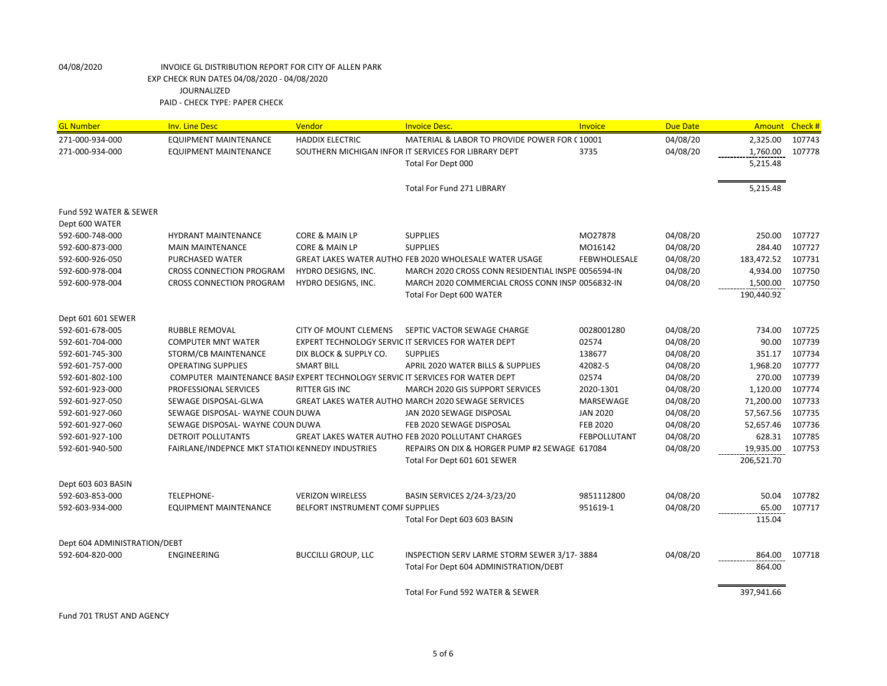| <b>GL Number</b>             | <b>Inv. Line Desc</b>                                                         | Vendor                                  | <b>Invoice Desc.</b>                                      | Invoice             | <b>Due Date</b> | <b>Amount</b> | Check# |
|------------------------------|-------------------------------------------------------------------------------|-----------------------------------------|-----------------------------------------------------------|---------------------|-----------------|---------------|--------|
| 271-000-934-000              | <b>EQUIPMENT MAINTENANCE</b>                                                  | <b>HADDIX ELECTRIC</b>                  | MATERIAL & LABOR TO PROVIDE POWER FOR C10001              |                     | 04/08/20        | 2,325.00      | 107743 |
| 271-000-934-000              | <b>EQUIPMENT MAINTENANCE</b>                                                  |                                         | SOUTHERN MICHIGAN INFOR IT SERVICES FOR LIBRARY DEPT      | 3735                | 04/08/20        | 1,760.00      | 107778 |
|                              |                                                                               |                                         | Total For Dept 000                                        |                     |                 | 5,215.48      |        |
|                              |                                                                               |                                         |                                                           |                     |                 |               |        |
|                              |                                                                               |                                         | <b>Total For Fund 271 LIBRARY</b>                         |                     |                 | 5,215.48      |        |
|                              |                                                                               |                                         |                                                           |                     |                 |               |        |
| Fund 592 WATER & SEWER       |                                                                               |                                         |                                                           |                     |                 |               |        |
| Dept 600 WATER               |                                                                               |                                         |                                                           |                     |                 |               |        |
| 592-600-748-000              | <b>HYDRANT MAINTENANCE</b>                                                    | <b>CORE &amp; MAIN LP</b>               | <b>SUPPLIES</b>                                           | MO27878             | 04/08/20        | 250.00        | 107727 |
| 592-600-873-000              | <b>MAIN MAINTENANCE</b>                                                       | <b>CORE &amp; MAIN LP</b>               | <b>SUPPLIES</b>                                           | MO16142             | 04/08/20        | 284.40        | 107727 |
| 592-600-926-050              | PURCHASED WATER                                                               |                                         | GREAT LAKES WATER AUTHO FEB 2020 WHOLESALE WATER USAGE    | <b>FEBWHOLESALE</b> | 04/08/20        | 183,472.52    | 107731 |
| 592-600-978-004              | <b>CROSS CONNECTION PROGRAM</b>                                               | HYDRO DESIGNS, INC.                     | MARCH 2020 CROSS CONN RESIDENTIAL INSPE 0056594-IN        |                     | 04/08/20        | 4,934.00      | 107750 |
| 592-600-978-004              | <b>CROSS CONNECTION PROGRAM</b>                                               | HYDRO DESIGNS, INC.                     | MARCH 2020 COMMERCIAL CROSS CONN INSPI0056832-IN          |                     | 04/08/20        | 1,500.00      | 107750 |
|                              |                                                                               |                                         | Total For Dept 600 WATER                                  |                     |                 | 190,440.92    |        |
|                              |                                                                               |                                         |                                                           |                     |                 |               |        |
| Dept 601 601 SEWER           |                                                                               |                                         |                                                           |                     |                 |               |        |
| 592-601-678-005              | <b>RUBBLE REMOVAL</b>                                                         | <b>CITY OF MOUNT CLEMENS</b>            | SEPTIC VACTOR SEWAGE CHARGE                               | 0028001280          | 04/08/20        | 734.00        | 107725 |
| 592-601-704-000              | <b>COMPUTER MNT WATER</b>                                                     |                                         | EXPERT TECHNOLOGY SERVIC IT SERVICES FOR WATER DEPT       | 02574               | 04/08/20        | 90.00         | 107739 |
| 592-601-745-300              | STORM/CB MAINTENANCE                                                          | DIX BLOCK & SUPPLY CO.                  | <b>SUPPLIES</b>                                           | 138677              | 04/08/20        | 351.17        | 107734 |
| 592-601-757-000              | <b>OPERATING SUPPLIES</b>                                                     | <b>SMART BILL</b>                       | APRIL 2020 WATER BILLS & SUPPLIES                         | 42082-S             | 04/08/20        | 1,968.20      | 107777 |
| 592-601-802-100              | COMPUTER MAINTENANCE BASINEXPERT TECHNOLOGY SERVIC IT SERVICES FOR WATER DEPT |                                         |                                                           | 02574               | 04/08/20        | 270.00        | 107739 |
| 592-601-923-000              | PROFESSIONAL SERVICES                                                         | <b>RITTER GIS INC</b>                   | MARCH 2020 GIS SUPPORT SERVICES                           | 2020-1301           | 04/08/20        | 1,120.00      | 107774 |
| 592-601-927-050              | SEWAGE DISPOSAL-GLWA                                                          |                                         | GREAT LAKES WATER AUTHO MARCH 2020 SEWAGE SERVICES        | MARSEWAGE           | 04/08/20        | 71,200.00     | 107733 |
| 592-601-927-060              | SEWAGE DISPOSAL- WAYNE COUN DUWA                                              |                                         | JAN 2020 SEWAGE DISPOSAL                                  | <b>JAN 2020</b>     | 04/08/20        | 57,567.56     | 107735 |
| 592-601-927-060              | SEWAGE DISPOSAL- WAYNE COUN DUWA                                              |                                         | FEB 2020 SEWAGE DISPOSAL                                  | <b>FEB 2020</b>     | 04/08/20        | 52,657.46     | 107736 |
| 592-601-927-100              | <b>DETROIT POLLUTANTS</b>                                                     |                                         | <b>GREAT LAKES WATER AUTHO FEB 2020 POLLUTANT CHARGES</b> | <b>FEBPOLLUTANT</b> | 04/08/20        | 628.31        | 107785 |
| 592-601-940-500              | FAIRLANE/INDEPNCE MKT STATIOI KENNEDY INDUSTRIES                              |                                         | REPAIRS ON DIX & HORGER PUMP #2 SEWAGE 617084             |                     | 04/08/20        | 19,935.00     | 107753 |
|                              |                                                                               |                                         | Total For Dept 601 601 SEWER                              |                     |                 | 206,521.70    |        |
| Dept 603 603 BASIN           |                                                                               |                                         |                                                           |                     |                 |               |        |
| 592-603-853-000              | <b>TELEPHONE-</b>                                                             | <b>VERIZON WIRELESS</b>                 | BASIN SERVICES 2/24-3/23/20                               | 9851112800          | 04/08/20        | 50.04         | 107782 |
| 592-603-934-000              | <b>EQUIPMENT MAINTENANCE</b>                                                  | <b>BELFORT INSTRUMENT COMF SUPPLIES</b> |                                                           | 951619-1            | 04/08/20        | 65.00         | 107717 |
|                              |                                                                               |                                         | Total For Dept 603 603 BASIN                              |                     |                 | 115.04        |        |
|                              |                                                                               |                                         |                                                           |                     |                 |               |        |
| Dept 604 ADMINISTRATION/DEBT |                                                                               |                                         |                                                           |                     |                 |               |        |
| 592-604-820-000              | <b>ENGINEERING</b>                                                            | <b>BUCCILLI GROUP, LLC</b>              | INSPECTION SERV LARME STORM SEWER 3/17-3884               |                     | 04/08/20        | 864.00        | 107718 |
|                              |                                                                               |                                         | Total For Dept 604 ADMINISTRATION/DEBT                    |                     |                 | 864.00        |        |
|                              |                                                                               |                                         |                                                           |                     |                 |               |        |
|                              |                                                                               |                                         | Total For Fund 592 WATER & SEWER                          |                     |                 | 397,941.66    |        |

Fund 701 TRUST AND AGENCY